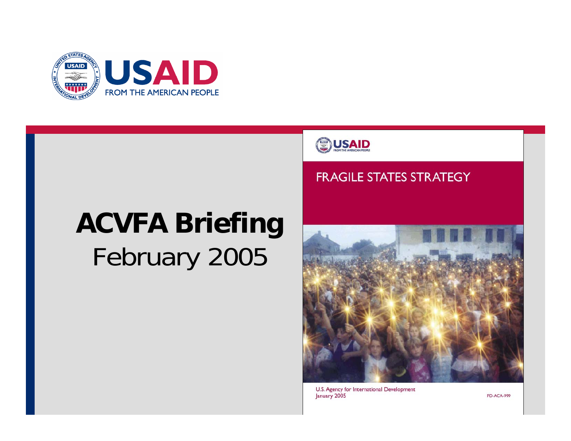

# **ACVFA Briefing**  February 2005



#### **FRAGILE STATES STRATEGY**



U.S. Agency for International Development January 2005

**PD-ACA-999**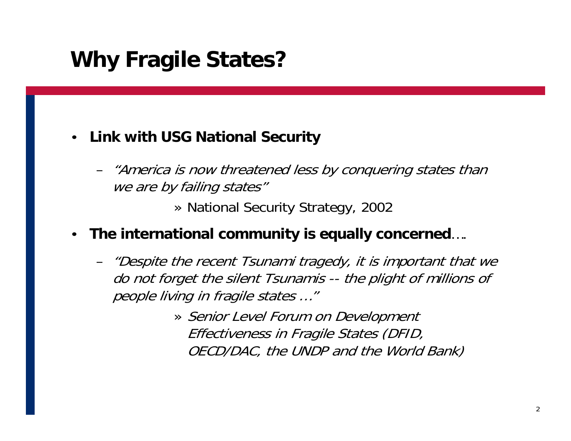### **Why Fragile States?**

#### • **Link with USG National Security**

– "America is now threatened less by conquering states than we are by failing states"

» National Security Strategy, 2002

- **The international community is equally concerned**….
	- "Despite the recent Tsunami tragedy, it is important that we do not forget the silent Tsunamis -- the plight of millions of people living in fragile states …"
		- » Senior Level Forum on Development Effectiveness in Fragile States (DFID, OECD/DAC, the UNDP and the World Bank)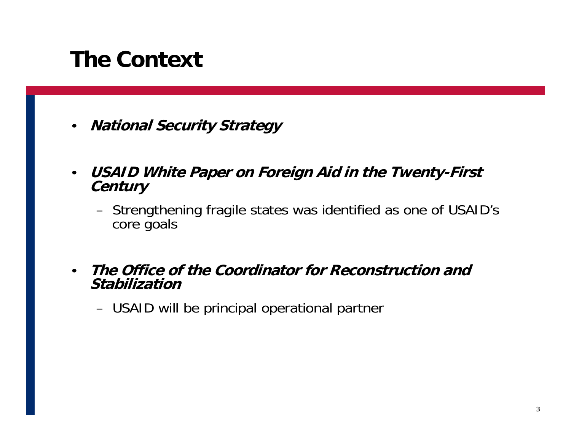### **The Context**

- $\bullet$ **National Security Strategy**
- $\bullet$  **USAID White Paper on Foreign Aid in the Twenty-First Century** 
	- – Strengthening fragile states was identified as one of USAID's core goals
- $\bullet$  **The Office of the Coordinator for Reconstruction and Stabilization** 
	- –USAID will be principal operational partner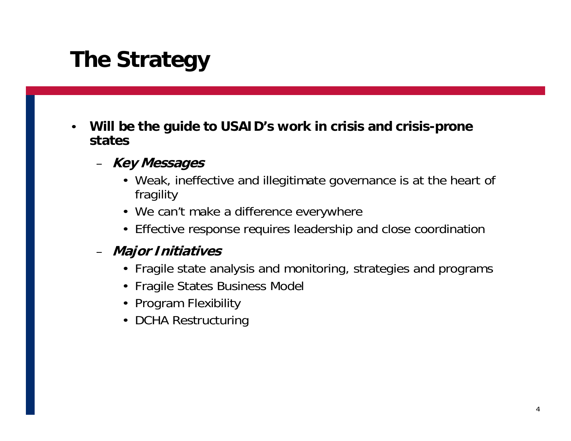## **The Strategy**

- $\bullet$  **Will be the guide to USAID's work in crisis and crisis-prone states** 
	- **Key Messages** 
		- Weak, ineffective and illegitimate governance is at the heart of fragility
		- We can't make a difference everywhere
		- Effective response requires leadership and close coordination

#### – **Major Initiatives**

- Fragile state analysis and monitoring, strategies and programs
- Fragile States Business Model
- Program Flexibility
- DCHA Restructuring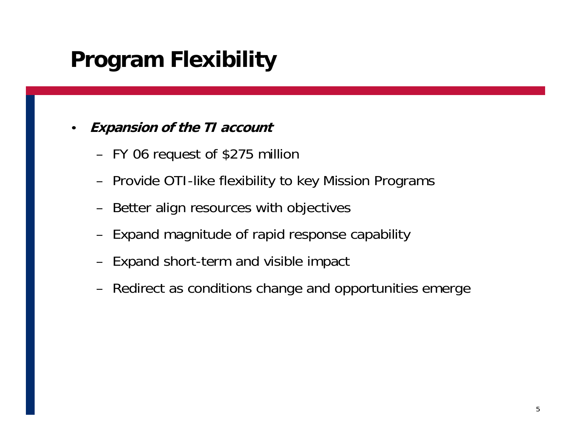### **Program Flexibility**

#### • **Expansion of the TI account**

- FY 06 request of \$275 million
- Provide OTI-like flexibility to key Mission Programs
- Better align resources with objectives
- Expand magnitude of rapid response capability
- Expand short-term and visible impact
- Redirect as conditions change and opportunities emerge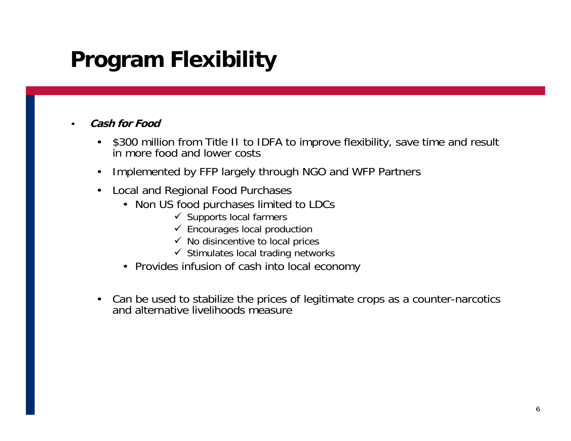## **Program Flexibility**

#### •**Cash for Food**

- $\bullet$ \$300 million from Title II to IDFA to improve flexibility, save time and result in more food and lower costs
- •Implemented by FFP largely through NGO and WFP Partners
- $\bullet$  Local and Regional Food Purchases
	- Non US food purchases limited to LDCs
		- $\checkmark$  Supports local farmers
		- $\checkmark$  Encourages local production
		- $\checkmark$  No disincentive to local prices
		- $\checkmark$  Stimulates local trading networks
	- Provides infusion of cash into local economy
- Can be used to stabilize the prices of legitimate crops as a counter-narcotics and alternative livelihoods measure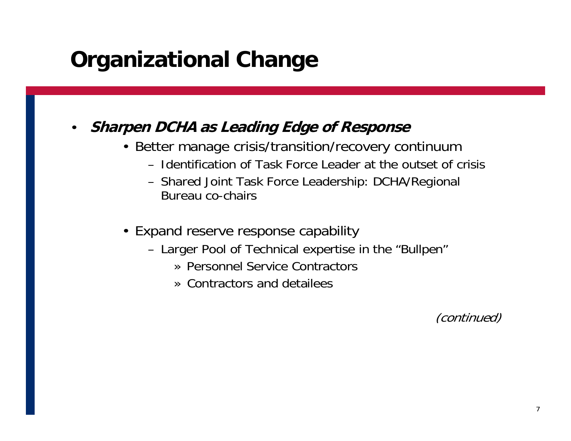### **Organizational Change**

### • **Sharpen DCHA as Leading Edge of Response**

- Better manage crisis/transition/recovery continuum
	- Identification of Task Force Leader at the outset of crisis
	- Shared Joint Task Force Leadership: DCHA/Regional Bureau co-chairs
- Expand reserve response capability
	- Larger Pool of Technical expertise in the "Bullpen"
		- » Personnel Service Contractors
		- » Contractors and detailees

(continued)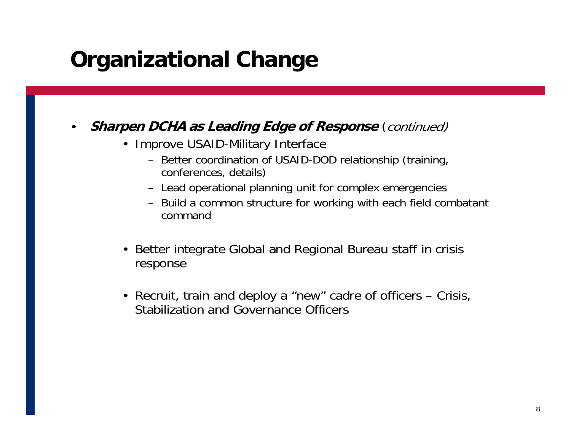### **Organizational Change**

#### • **Sharpen DCHA as Leading Edge of Response**  (continued)

- Improve USAID-Military Interface
	- Better coordination of USAID-DOD relationship (training, conferences, details)
	- Lead operational planning unit for complex emergencies
	- Build a common structure for working with each field combatant command
- • Better integrate Global and Regional Bureau staff in crisis response
- Recruit, train and deploy a "new" cadre of officers Crisis, Stabilization and Governance Officers